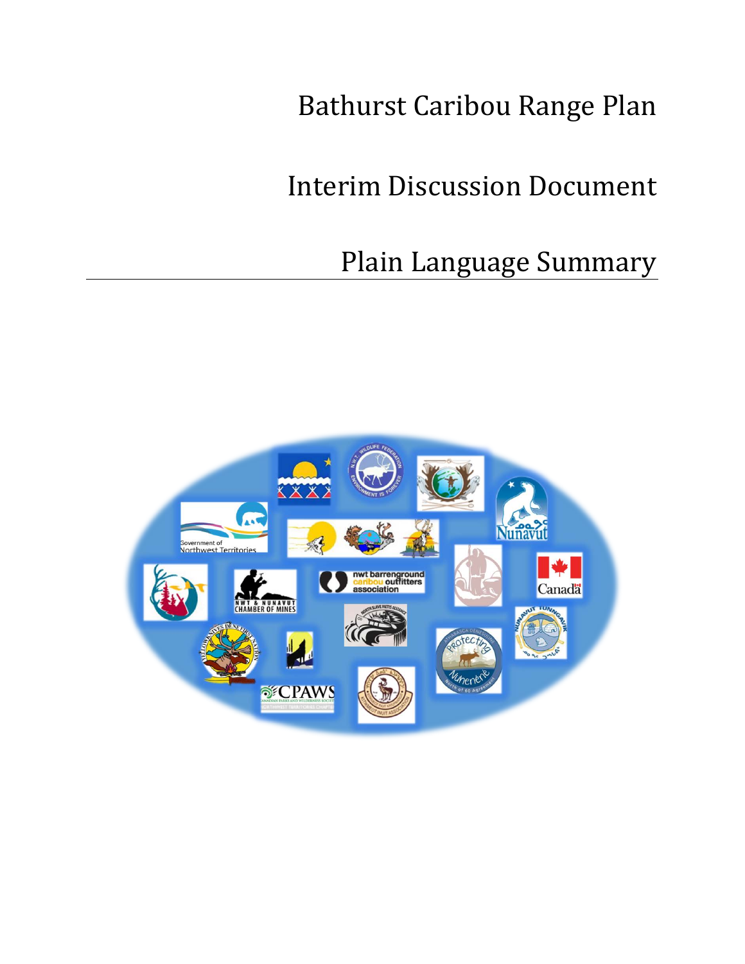# Bathurst Caribou Range Plan

# Interim Discussion Document

## Plain Language Summary

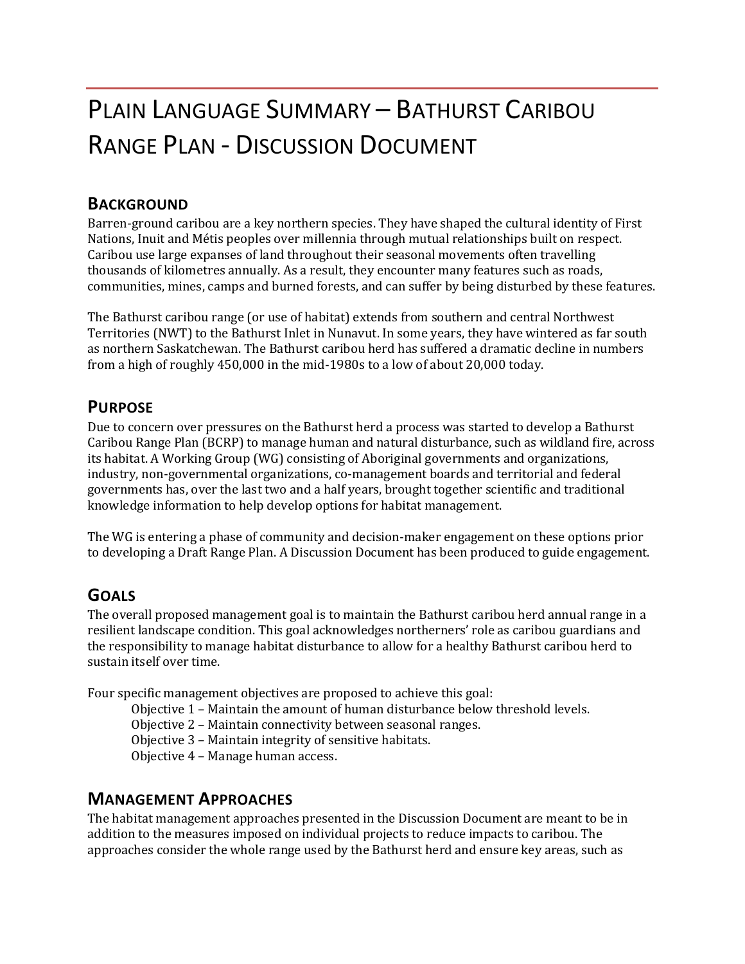## PLAIN LANGUAGE SUMMARY – BATHURST CARIBOU RANGE PLAN - DISCUSSION DOCUMENT

### **BACKGROUND**

Barren-ground caribou are a key northern species. They have shaped the cultural identity of First Nations, Inuit and Métis peoples over millennia through mutual relationships built on respect. Caribou use large expanses of land throughout their seasonal movements often travelling thousands of kilometres annually. As a result, they encounter many features such as roads, communities, mines, camps and burned forests, and can suffer by being disturbed by these features.

The Bathurst caribou range (or use of habitat) extends from southern and central Northwest Territories (NWT) to the Bathurst Inlet in Nunavut. In some years, they have wintered as far south as northern Saskatchewan. The Bathurst caribou herd has suffered a dramatic decline in numbers from a high of roughly 450,000 in the mid-1980s to a low of about 20,000 today.

#### **PURPOSE**

Due to concern over pressures on the Bathurst herd a process was started to develop a Bathurst Caribou Range Plan (BCRP) to manage human and natural disturbance, such as wildland fire, across its habitat. A Working Group (WG) consisting of Aboriginal governments and organizations, industry, non-governmental organizations, co-management boards and territorial and federal governments has, over the last two and a half years, brought together scientific and traditional knowledge information to help develop options for habitat management.

The WG is entering a phase of community and decision-maker engagement on these options prior to developing a Draft Range Plan. A Discussion Document has been produced to guide engagement.

## **GOALS**

The overall proposed management goal is to maintain the Bathurst caribou herd annual range in a resilient landscape condition. This goal acknowledges northerners' role as caribou guardians and the responsibility to manage habitat disturbance to allow for a healthy Bathurst caribou herd to sustain itself over time.

Four specific management objectives are proposed to achieve this goal:

Objective 1 – Maintain the amount of human disturbance below threshold levels.

Objective 2 – Maintain connectivity between seasonal ranges.

Objective 3 – Maintain integrity of sensitive habitats.

Objective 4 – Manage human access.

## **MANAGEMENT APPROACHES**

The habitat management approaches presented in the Discussion Document are meant to be in addition to the measures imposed on individual projects to reduce impacts to caribou. The approaches consider the whole range used by the Bathurst herd and ensure key areas, such as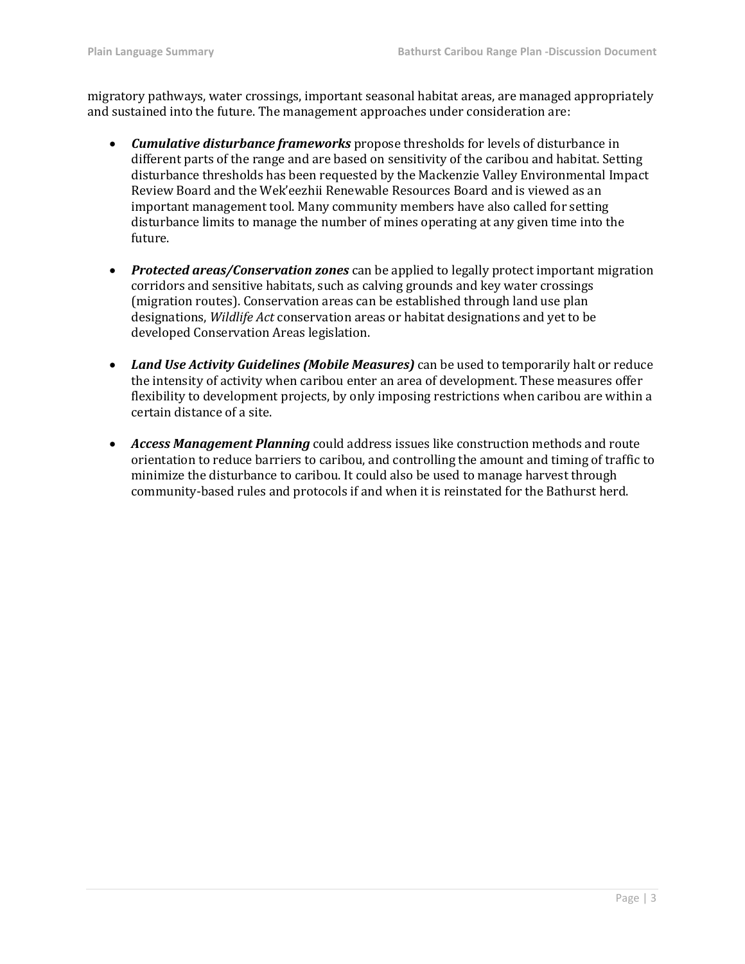migratory pathways, water crossings, important seasonal habitat areas, are managed appropriately and sustained into the future. The management approaches under consideration are:

- *Cumulative disturbance frameworks* propose thresholds for levels of disturbance in different parts of the range and are based on sensitivity of the caribou and habitat. Setting disturbance thresholds has been requested by the Mackenzie Valley Environmental Impact Review Board and the Wek'eezhii Renewable Resources Board and is viewed as an important management tool. Many community members have also called for setting disturbance limits to manage the number of mines operating at any given time into the future.
- *Protected areas/Conservation zones* can be applied to legally protect important migration corridors and sensitive habitats, such as calving grounds and key water crossings (migration routes). Conservation areas can be established through land use plan designations, *Wildlife Act* conservation areas or habitat designations and yet to be developed Conservation Areas legislation.
- *Land Use Activity Guidelines (Mobile Measures)* can be used to temporarily halt or reduce the intensity of activity when caribou enter an area of development. These measures offer flexibility to development projects, by only imposing restrictions when caribou are within a certain distance of a site.
- *Access Management Planning* could address issues like construction methods and route orientation to reduce barriers to caribou, and controlling the amount and timing of traffic to minimize the disturbance to caribou. It could also be used to manage harvest through community-based rules and protocols if and when it is reinstated for the Bathurst herd.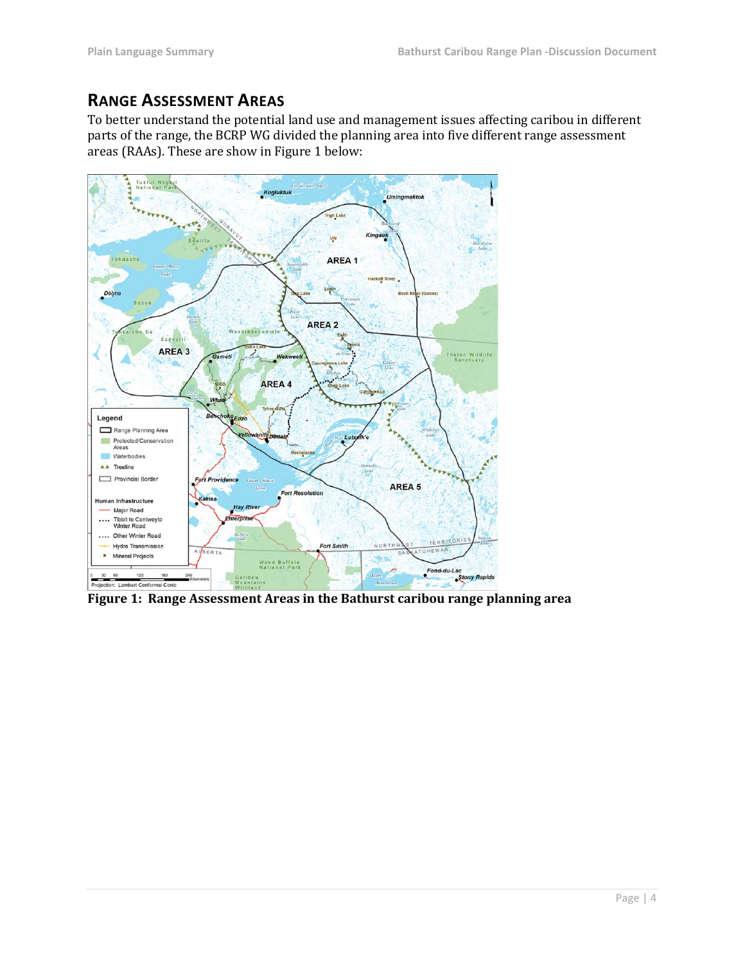## **RANGE ASSESSMENT AREAS**

To better understand the potential land use and management issues affecting caribou in different parts of the range, the BCRP WG divided the planning area into five different range assessment areas (RAAs). These are show in Figure 1 below:



**Figure 1: Range Assessment Areas in the Bathurst caribou range planning area**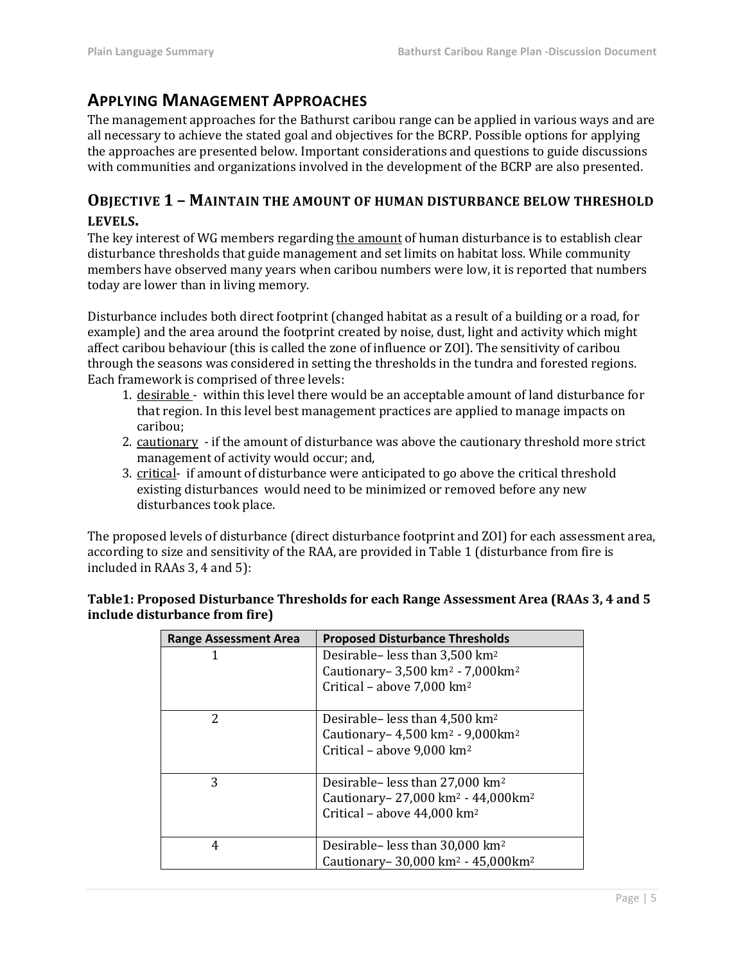### **APPLYING MANAGEMENT APPROACHES**

The management approaches for the Bathurst caribou range can be applied in various ways and are all necessary to achieve the stated goal and objectives for the BCRP. Possible options for applying the approaches are presented below. Important considerations and questions to guide discussions with communities and organizations involved in the development of the BCRP are also presented.

#### **OBJECTIVE 1 – MAINTAIN THE AMOUNT OF HUMAN DISTURBANCE BELOW THRESHOLD LEVELS.**

The key interest of WG members regarding the amount of human disturbance is to establish clear disturbance thresholds that guide management and set limits on habitat loss. While community members have observed many years when caribou numbers were low, it is reported that numbers today are lower than in living memory.

Disturbance includes both direct footprint (changed habitat as a result of a building or a road, for example) and the area around the footprint created by noise, dust, light and activity which might affect caribou behaviour (this is called the zone of influence or ZOI). The sensitivity of caribou through the seasons was considered in setting the thresholds in the tundra and forested regions. Each framework is comprised of three levels:

- 1. desirable within this level there would be an acceptable amount of land disturbance for that region. In this level best management practices are applied to manage impacts on caribou;
- 2. cautionary if the amount of disturbance was above the cautionary threshold more strict management of activity would occur; and,
- 3. critical- if amount of disturbance were anticipated to go above the critical threshold existing disturbances would need to be minimized or removed before any new disturbances took place.

The proposed levels of disturbance (direct disturbance footprint and ZOI) for each assessment area, according to size and sensitivity of the RAA, are provided in Table 1 (disturbance from fire is included in RAAs 3, 4 and 5):

#### **Table1: Proposed Disturbance Thresholds for each Range Assessment Area (RAAs 3, 4 and 5 include disturbance from fire)**

| <b>Range Assessment Area</b> | <b>Proposed Disturbance Thresholds</b>                     |
|------------------------------|------------------------------------------------------------|
|                              | Desirable-less than 3,500 km <sup>2</sup>                  |
|                              | Cautionary- 3,500 km <sup>2</sup> - 7,000 km <sup>2</sup>  |
|                              | Critical - above 7,000 km <sup>2</sup>                     |
|                              |                                                            |
| $\overline{\mathcal{L}}$     | Desirable– less than $4,500 \mathrm{~km^2}$                |
|                              | Cautionary- 4,500 km <sup>2</sup> - 9,000 km <sup>2</sup>  |
|                              | Critical - above 9,000 km <sup>2</sup>                     |
|                              |                                                            |
| 3                            | Desirable-less than 27,000 km <sup>2</sup>                 |
|                              | Cautionary-27,000 km <sup>2</sup> - 44,000 km <sup>2</sup> |
|                              | Critical – above $44,000$ km <sup>2</sup>                  |
|                              |                                                            |
| 4                            | Desirable-less than 30,000 km <sup>2</sup>                 |
|                              | Cautionary-30,000 km <sup>2</sup> - 45,000 km <sup>2</sup> |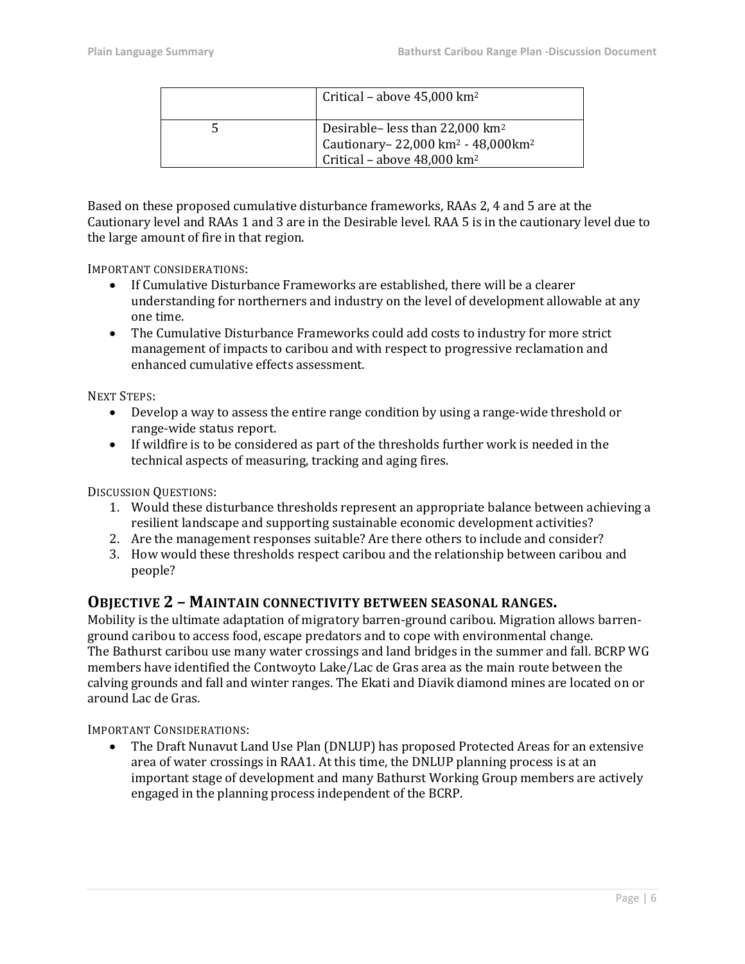| Critical – above $45,000$ km <sup>2</sup>                                                                                                           |
|-----------------------------------------------------------------------------------------------------------------------------------------------------|
| Desirable-less than 22,000 km <sup>2</sup><br>Cautionary-22,000 km <sup>2</sup> - 48,000 km <sup>2</sup><br>Critical - above 48,000 km <sup>2</sup> |

Based on these proposed cumulative disturbance frameworks, RAAs 2, 4 and 5 are at the Cautionary level and RAAs 1 and 3 are in the Desirable level. RAA 5 is in the cautionary level due to the large amount of fire in that region.

IMPORTANT CONSIDERATIONS:

- If Cumulative Disturbance Frameworks are established, there will be a clearer understanding for northerners and industry on the level of development allowable at any one time.
- The Cumulative Disturbance Frameworks could add costs to industry for more strict management of impacts to caribou and with respect to progressive reclamation and enhanced cumulative effects assessment.

NEXT STEPS:

- Develop a way to assess the entire range condition by using a range-wide threshold or range-wide status report.
- If wildfire is to be considered as part of the thresholds further work is needed in the technical aspects of measuring, tracking and aging fires.

DISCUSSION QUESTIONS:

- 1. Would these disturbance thresholds represent an appropriate balance between achieving a resilient landscape and supporting sustainable economic development activities?
- 2. Are the management responses suitable? Are there others to include and consider?
- 3. How would these thresholds respect caribou and the relationship between caribou and people?

#### **OBJECTIVE 2 – MAINTAIN CONNECTIVITY BETWEEN SEASONAL RANGES.**

Mobility is the ultimate adaptation of migratory barren-ground caribou. Migration allows barrenground caribou to access food, escape predators and to cope with environmental change. The Bathurst caribou use many water crossings and land bridges in the summer and fall. BCRP WG members have identified the Contwoyto Lake/Lac de Gras area as the main route between the calving grounds and fall and winter ranges. The Ekati and Diavik diamond mines are located on or around Lac de Gras.

IMPORTANT CONSIDERATIONS:

• The Draft Nunavut Land Use Plan (DNLUP) has proposed Protected Areas for an extensive area of water crossings in RAA1. At this time, the DNLUP planning process is at an important stage of development and many Bathurst Working Group members are actively engaged in the planning process independent of the BCRP.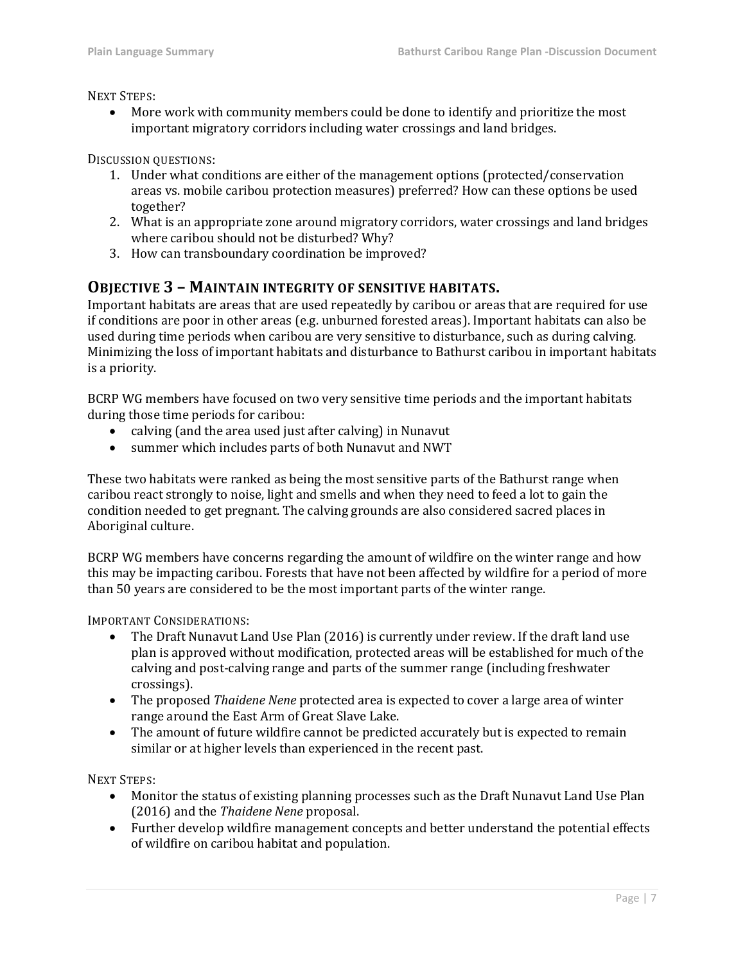NEXT STEPS:

• More work with community members could be done to identify and prioritize the most important migratory corridors including water crossings and land bridges.

DISCUSSION QUESTIONS:

- 1. Under what conditions are either of the management options (protected/conservation areas vs. mobile caribou protection measures) preferred? How can these options be used together?
- 2. What is an appropriate zone around migratory corridors, water crossings and land bridges where caribou should not be disturbed? Why?
- 3. How can transboundary coordination be improved?

#### **OBJECTIVE 3 – MAINTAIN INTEGRITY OF SENSITIVE HABITATS.**

Important habitats are areas that are used repeatedly by caribou or areas that are required for use if conditions are poor in other areas (e.g. unburned forested areas). Important habitats can also be used during time periods when caribou are very sensitive to disturbance, such as during calving. Minimizing the loss of important habitats and disturbance to Bathurst caribou in important habitats is a priority.

BCRP WG members have focused on two very sensitive time periods and the important habitats during those time periods for caribou:

- calving (and the area used just after calving) in Nunavut
- summer which includes parts of both Nunavut and NWT

These two habitats were ranked as being the most sensitive parts of the Bathurst range when caribou react strongly to noise, light and smells and when they need to feed a lot to gain the condition needed to get pregnant. The calving grounds are also considered sacred places in Aboriginal culture.

BCRP WG members have concerns regarding the amount of wildfire on the winter range and how this may be impacting caribou. Forests that have not been affected by wildfire for a period of more than 50 years are considered to be the most important parts of the winter range.

#### IMPORTANT CONSIDERATIONS:

- The Draft Nunavut Land Use Plan (2016) is currently under review. If the draft land use plan is approved without modification, protected areas will be established for much of the calving and post-calving range and parts of the summer range (including freshwater crossings).
- The proposed *Thaidene Nene* protected area is expected to cover a large area of winter range around the East Arm of Great Slave Lake.
- The amount of future wildfire cannot be predicted accurately but is expected to remain similar or at higher levels than experienced in the recent past.

NEXT STEPS:

- Monitor the status of existing planning processes such as the Draft Nunavut Land Use Plan (2016) and the *Thaidene Nene* proposal.
- Further develop wildfire management concepts and better understand the potential effects of wildfire on caribou habitat and population.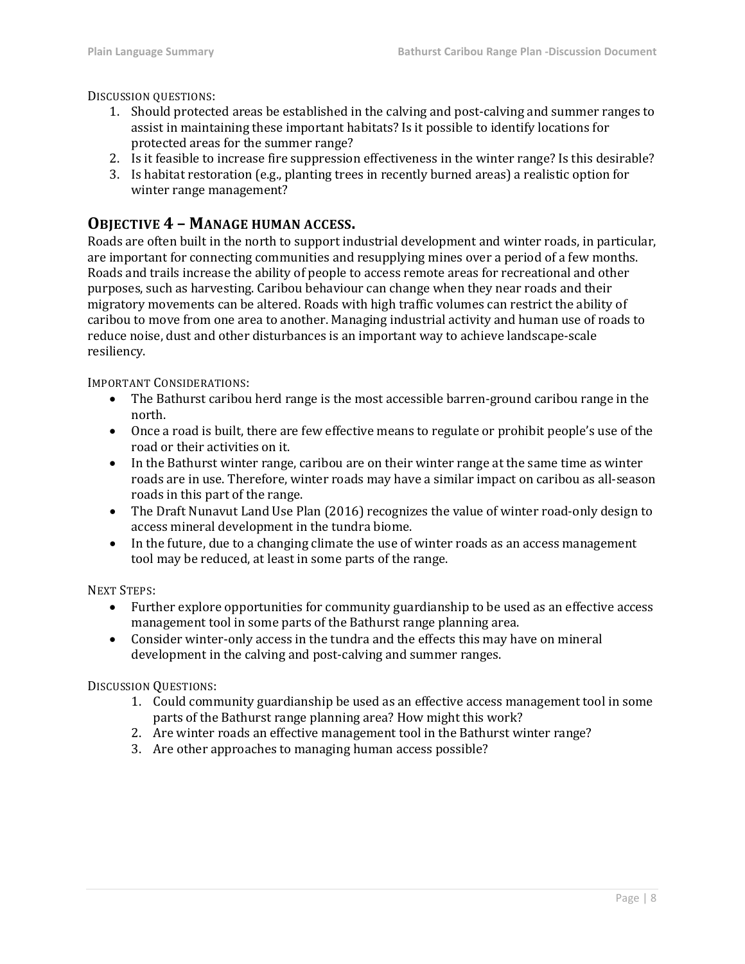DISCUSSION QUESTIONS:

- 1. Should protected areas be established in the calving and post-calving and summer ranges to assist in maintaining these important habitats? Is it possible to identify locations for protected areas for the summer range?
- 2. Is it feasible to increase fire suppression effectiveness in the winter range? Is this desirable?
- 3. Is habitat restoration (e.g., planting trees in recently burned areas) a realistic option for winter range management?

#### **OBJECTIVE 4 – MANAGE HUMAN ACCESS.**

Roads are often built in the north to support industrial development and winter roads, in particular, are important for connecting communities and resupplying mines over a period of a few months. Roads and trails increase the ability of people to access remote areas for recreational and other purposes, such as harvesting. Caribou behaviour can change when they near roads and their migratory movements can be altered. Roads with high traffic volumes can restrict the ability of caribou to move from one area to another. Managing industrial activity and human use of roads to reduce noise, dust and other disturbances is an important way to achieve landscape-scale resiliency.

IMPORTANT CONSIDERATIONS:

- The Bathurst caribou herd range is the most accessible barren-ground caribou range in the north.
- Once a road is built, there are few effective means to regulate or prohibit people's use of the road or their activities on it.
- In the Bathurst winter range, caribou are on their winter range at the same time as winter roads are in use. Therefore, winter roads may have a similar impact on caribou as all-season roads in this part of the range.
- The Draft Nunavut Land Use Plan (2016) recognizes the value of winter road-only design to access mineral development in the tundra biome.
- In the future, due to a changing climate the use of winter roads as an access management tool may be reduced, at least in some parts of the range.

NEXT STEPS:

- Further explore opportunities for community guardianship to be used as an effective access management tool in some parts of the Bathurst range planning area.
- Consider winter-only access in the tundra and the effects this may have on mineral development in the calving and post-calving and summer ranges.

DISCUSSION QUESTIONS:

- 1. Could community guardianship be used as an effective access management tool in some parts of the Bathurst range planning area? How might this work?
- 2. Are winter roads an effective management tool in the Bathurst winter range?
- 3. Are other approaches to managing human access possible?